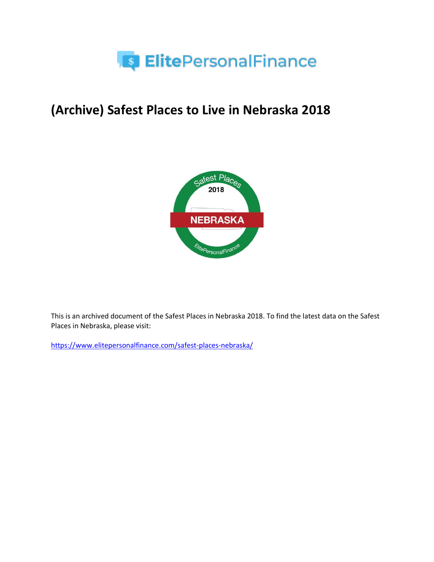

# **(Archive) Safest Places to Live in Nebraska 2018**



This is an archived document of the Safest Places in Nebraska 2018. To find the latest data on the Safest Places in Nebraska, please visit:

<https://www.elitepersonalfinance.com/safest-places-nebraska/>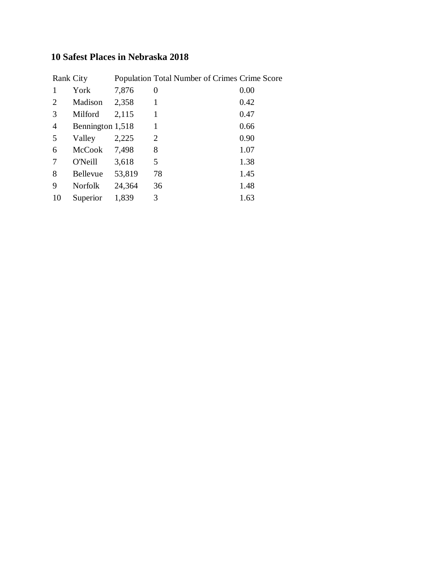### **10 Safest Places in Nebraska 2018**

|                | Rank City        |        | Population Total Number of Crimes Crime Score |      |
|----------------|------------------|--------|-----------------------------------------------|------|
|                | York             | 7,876  | 0                                             | 0.00 |
| 2              | Madison          | 2,358  | 1                                             | 0.42 |
| 3              | Milford          | 2,115  | 1                                             | 0.47 |
| $\overline{4}$ | Bennington 1,518 |        | 1                                             | 0.66 |
| 5              | Valley           | 2,225  | $\overline{2}$                                | 0.90 |
| 6              | <b>McCook</b>    | 7,498  | 8                                             | 1.07 |
| 7              | <b>O'Neill</b>   | 3,618  | 5                                             | 1.38 |
| 8              | <b>Bellevue</b>  | 53,819 | 78                                            | 1.45 |
| 9              | <b>Norfolk</b>   | 24,364 | 36                                            | 1.48 |
| 10             | Superior         | 1,839  | 3                                             | 1.63 |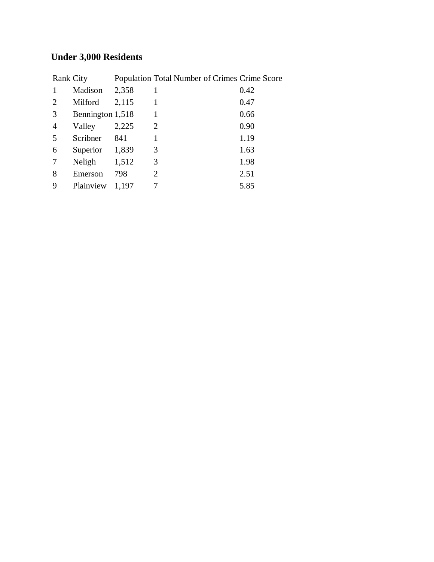## **Under 3,000 Residents**

|                | Rank City        |       | Population Total Number of Crimes Crime Score |      |
|----------------|------------------|-------|-----------------------------------------------|------|
|                | Madison          | 2,358 |                                               | 0.42 |
| 2              | Milford          | 2,115 |                                               | 0.47 |
| 3              | Bennington 1,518 |       | 1                                             | 0.66 |
| $\overline{4}$ | Valley           | 2,225 | 2                                             | 0.90 |
| 5              | Scribner         | 841   |                                               | 1.19 |
| 6              | Superior         | 1,839 | 3                                             | 1.63 |
| 7              | Neligh           | 1,512 | 3                                             | 1.98 |
| 8              | Emerson          | 798   | $\overline{2}$                                | 2.51 |
| 9              | Plainview        | 1,197 |                                               | 5.85 |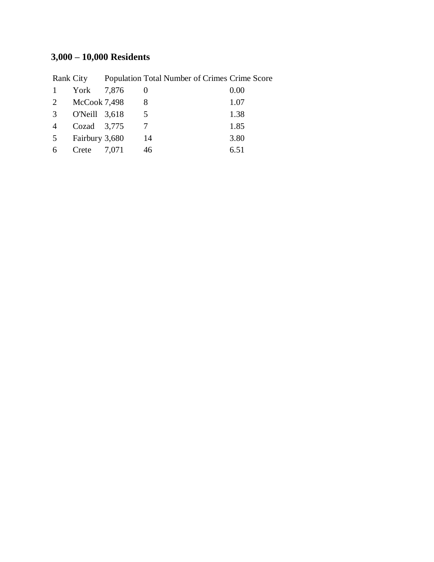## **3,000 – 10,000 Residents**

|  |                                                                                                 | 0.00                                                    |
|--|-------------------------------------------------------------------------------------------------|---------------------------------------------------------|
|  |                                                                                                 | 1.07                                                    |
|  | 5                                                                                               | 1.38                                                    |
|  |                                                                                                 | 1.85                                                    |
|  | 14                                                                                              | 3.80                                                    |
|  | 46                                                                                              | 6.51                                                    |
|  | York 7,876<br>McCook 7,498<br>O'Neill 3,618<br>Cozad $3,775$<br>Fairbury 3,680<br>Crete $7,071$ | Rank City Population Total Number of Crimes Crime Score |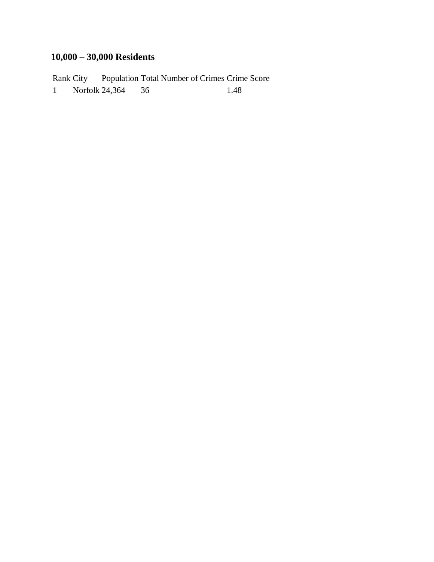## **10,000 – 30,000 Residents**

Rank City Population Total Number of Crimes Crime Score 1 Norfolk 24,364 36 1.48